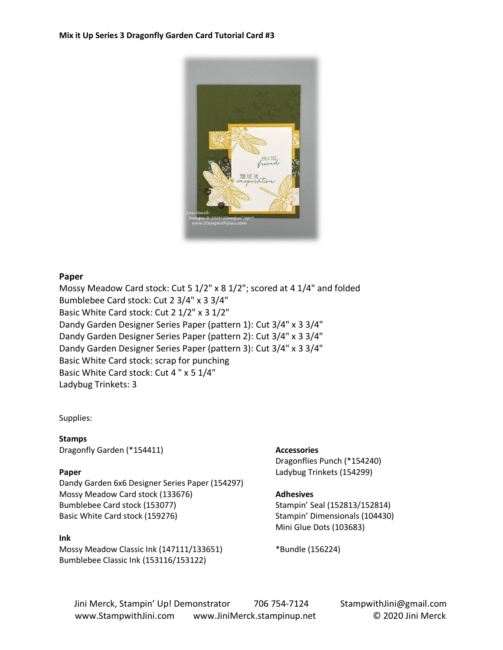

### **Paper**

Mossy Meadow Card stock: Cut 5 1/2" x 8 1/2"; scored at 4 1/4" and folded Bumblebee Card stock: Cut 2 3/4" x 3 3/4" Basic White Card stock: Cut 2 1/2" x 3 1/2" Dandy Garden Designer Series Paper (pattern 1): Cut 3/4" x 3 3/4" Dandy Garden Designer Series Paper (pattern 2): Cut 3/4" x 3 3/4" Dandy Garden Designer Series Paper (pattern 3): Cut 3/4" x 3 3/4" Basic White Card stock: scrap for punching Basic White Card stock: Cut 4 " x 5 1/4" Ladybug Trinkets: 3

#### Supplies:

**Stamps** Dragonfly Garden (\*154411)

#### **Paper**

Dandy Garden 6x6 Designer Series Paper (154297) Mossy Meadow Card stock (133676) Bumblebee Card stock (153077) Basic White Card stock (159276)

#### **Ink**

Mossy Meadow Classic Ink (147111/133651) Bumblebee Classic Ink (153116/153122)

#### **Accessories**

Dragonflies Punch (\*154240) Ladybug Trinkets (154299)

#### **Adhesives**

Stampin' Seal (152813/152814) Stampin' Dimensionals (104430) Mini Glue Dots (103683)

\*Bundle (156224)

Jini Merck, Stampin' Up! Demonstrator 706 754-7124 StampwithJini@gmail.com www.StampwithJini.com www.JiniMerck.stampinup.net © 2020 Jini Merck